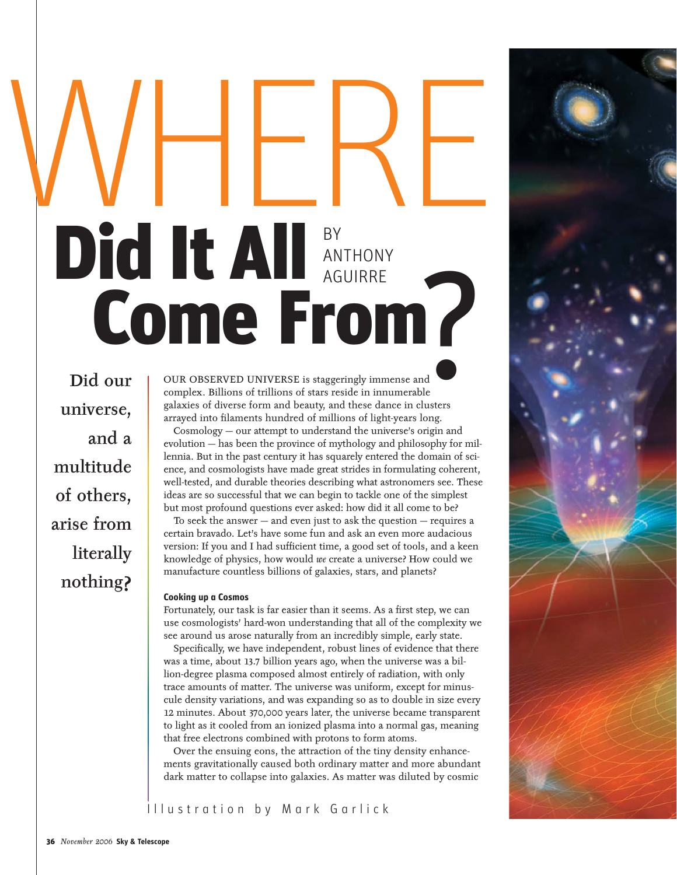# WHERE GUIRRE<br>
eringly immense and<br>
eside in imnumerable<br>
and these dance in clusters<br>
lions of light ways long ANTHONY AGUIRRE Did It All Come From

Did our universe, and a multitude of others, arise from literally nothing?

OUR OBSERVED UNIVERSE is staggeringly immense and complex. Billions of trillions of stars reside in innumerable galaxies of diverse form and beauty, and these dance in clusters arrayed into filaments hundred of millions of light-years long.

Cosmology — our attempt to understand the universe's origin and evolution — has been the province of mythology and philosophy for millennia. But in the past century it has squarely entered the domain of science, and cosmologists have made great strides in formulating coherent, well-tested, and durable theories describing what astronomers see. These ideas are so successful that we can begin to tackle one of the simplest but most profound questions ever asked: how did it all come to be?

To seek the answer — and even just to ask the question — requires a certain bravado. Let's have some fun and ask an even more audacious version: If you and I had sufficient time, a good set of tools, and a keen knowledge of physics, how would *we* create a universe? How could we manufacture countless billions of galaxies, stars, and planets?

#### **Cooking up a Cosmos**

Fortunately, our task is far easier than it seems. As a first step, we can use cosmologists' hard-won understanding that all of the complexity we see around us arose naturally from an incredibly simple, early state.

Specifically, we have independent, robust lines of evidence that there was a time, about 13.7 billion years ago, when the universe was a billion-degree plasma composed almost entirely of radiation, with only trace amounts of matter. The universe was uniform, except for minuscule density variations, and was expanding so as to double in size every 12 minutes. About 370,000 years later, the universe became transparent to light as it cooled from an ionized plasma into a normal gas, meaning that free electrons combined with protons to form atoms.

Over the ensuing eons, the attraction of the tiny density enhancements gravitationally caused both ordinary matter and more abundant dark matter to collapse into galaxies. As matter was diluted by cosmic



Illustration by Mark Garlick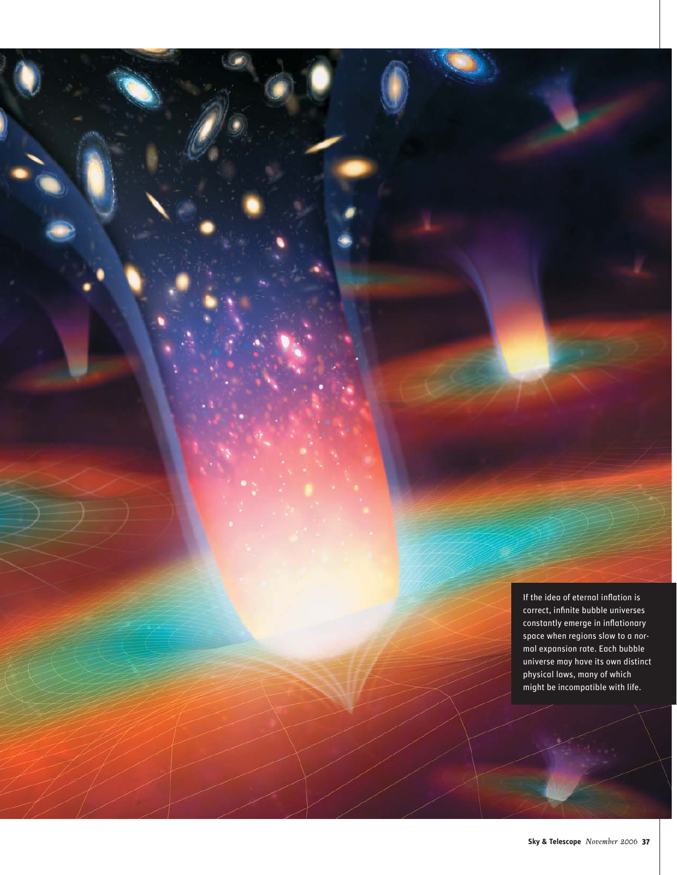If the idea of eternal inflation is correct, infinite bubble universes constantly emerge in inflationary space when regions slow to a normal expansion rate. Each bubble universe may have its own distinct physical laws, many of which might be incompatible with life.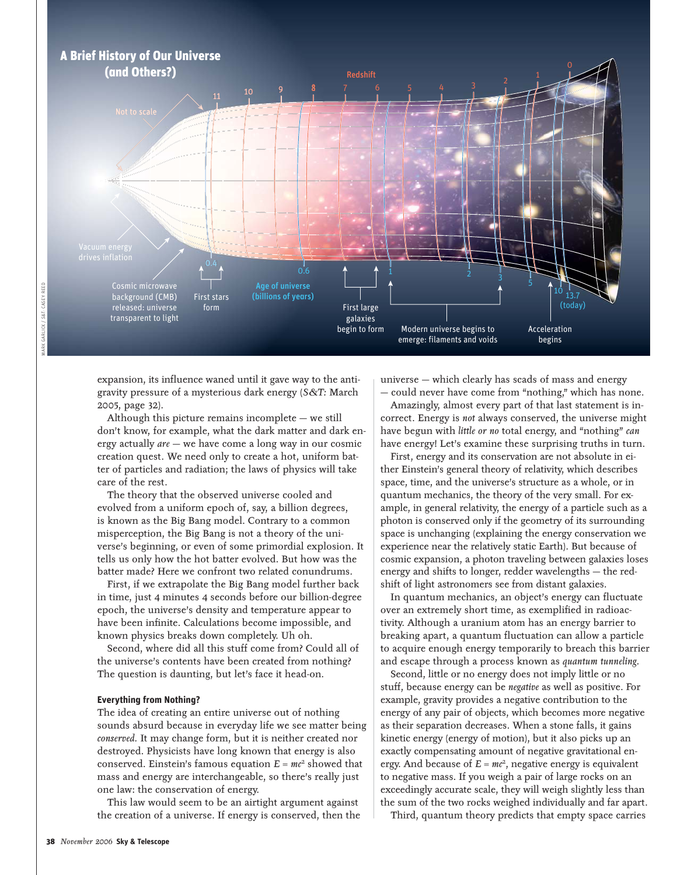

expansion, its influence waned until it gave way to the antigravity pressure of a mysterious dark energy (*S&T:* March 2005, page 32).

Although this picture remains incomplete — we still don't know, for example, what the dark matter and dark energy actually *are* — we have come a long way in our cosmic creation quest. We need only to create a hot, uniform batter of particles and radiation; the laws of physics will take care of the rest.

The theory that the observed universe cooled and evolved from a uniform epoch of, say, a billion degrees, is known as the Big Bang model. Contrary to a common misperception, the Big Bang is not a theory of the universe's beginning, or even of some primordial explosion. It tells us only how the hot batter evolved. But how was the batter made? Here we confront two related conundrums.

First, if we extrapolate the Big Bang model further back in time, just 4 minutes 4 seconds before our billion-degree epoch, the universe's density and temperature appear to have been infinite. Calculations become impossible, and known physics breaks down completely. Uh oh.

Second, where did all this stuff come from? Could all of the universe's contents have been created from nothing? The question is daunting, but let's face it head-on.

#### **Everything from Nothing?**

The idea of creating an entire universe out of nothing sounds absurd because in everyday life we see matter being *conserved.* It may change form, but it is neither created nor destroyed. Physicists have long known that energy is also conserved. Einstein's famous equation  $E = mc^2$  showed that mass and energy are interchangeable, so there's really just one law: the conservation of energy.

This law would seem to be an airtight argument against the creation of a universe. If energy is conserved, then the

universe — which clearly has scads of mass and energy — could never have come from "nothing," which has none.

Amazingly, almost every part of that last statement is incorrect. Energy is *not* always conserved, the universe might have begun with *little or no* total energy, and "nothing" *can* have energy! Let's examine these surprising truths in turn.

First, energy and its conservation are not absolute in either Einstein's general theory of relativity, which describes space, time, and the universe's structure as a whole, or in quantum mechanics, the theory of the very small. For example, in general relativity, the energy of a particle such as a photon is conserved only if the geometry of its surrounding space is unchanging (explaining the energy conservation we experience near the relatively static Earth). But because of cosmic expansion, a photon traveling between galaxies loses energy and shifts to longer, redder wavelengths — the redshift of light astronomers see from distant galaxies.

In quantum mechanics, an object's energy can fluctuate over an extremely short time, as exemplified in radioactivity. Although a uranium atom has an energy barrier to breaking apart, a quantum fluctuation can allow a particle to acquire enough energy temporarily to breach this barrier and escape through a process known as *quantum tunneling.*

Second, little or no energy does not imply little or no stuff, because energy can be *negative* as well as positive. For example, gravity provides a negative contribution to the energy of any pair of objects, which becomes more negative as their separation decreases. When a stone falls, it gains kinetic energy (energy of motion), but it also picks up an exactly compensating amount of negative gravitational energy. And because of  $E = mc^2$ , negative energy is equivalent to negative mass. If you weigh a pair of large rocks on an exceedingly accurate scale, they will weigh slightly less than the sum of the two rocks weighed individually and far apart.

Third, quantum theory predicts that empty space carries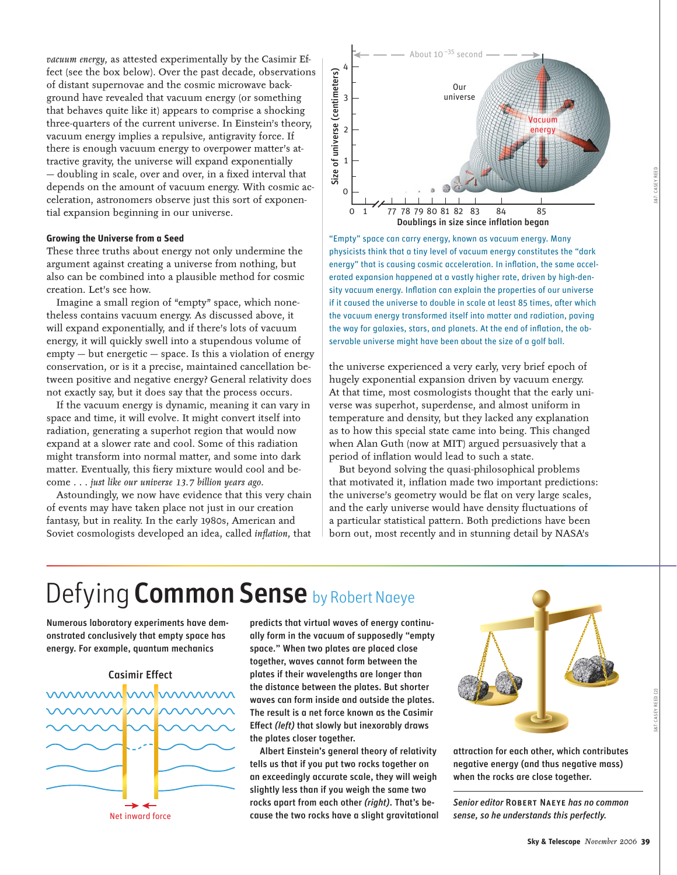*vacuum energy,* as attested experimentally by the Casimir Effect (see the box below). Over the past decade, observations of distant supernovae and the cosmic microwave background have revealed that vacuum energy (or something that behaves quite like it) appears to comprise a shocking three-quarters of the current universe. In Einstein's theory, vacuum energy implies a repulsive, antigravity force. If there is enough vacuum energy to overpower matter's attractive gravity, the universe will expand exponentially — doubling in scale, over and over, in a fixed interval that depends on the amount of vacuum energy. With cosmic acceleration, astronomers observe just this sort of exponential expansion beginning in our universe.

#### **Growing the Universe from a Seed**

These three truths about energy not only undermine the argument against creating a universe from nothing, but also can be combined into a plausible method for cosmic creation. Let's see how.

Imagine a small region of "empty" space, which nonetheless contains vacuum energy. As discussed above, it will expand exponentially, and if there's lots of vacuum energy, it will quickly swell into a stupendous volume of empty — but energetic — space. Is this a violation of energy conservation, or is it a precise, maintained cancellation between positive and negative energy? General relativity does not exactly say, but it does say that the process occurs.

If the vacuum energy is dynamic, meaning it can vary in space and time, it will evolve. It might convert itself into radiation, generating a superhot region that would now expand at a slower rate and cool. Some of this radiation might transform into normal matter, and some into dark matter. Eventually, this fiery mixture would cool and become . . . *just like our universe 13.7 billion years ago.*

Astoundingly, we now have evidence that this very chain of events may have taken place not just in our creation fantasy, but in reality. In the early 1980s, American and Soviet cosmologists developed an idea, called *inflation*, that



"Empty" space can carry energy, known as vacuum energy. Many physicists think that a tiny level of vacuum energy constitutes the "dark energy" that is causing cosmic acceleration. In inflation, the same accelerated expansion happened at a vastly higher rate, driven by high-density vacuum energy. Inflation can explain the properties of our universe if it caused the universe to double in scale at least 85 times, after which the vacuum energy transformed itself into matter and radiation, paving the way for galaxies, stars, and planets. At the end of inflation, the observable universe might have been about the size of a golf ball.

the universe experienced a very early, very brief epoch of hugely exponential expansion driven by vacuum energy. At that time, most cosmologists thought that the early universe was superhot, superdense, and almost uniform in temperature and density, but they lacked any explanation as to how this special state came into being. This changed when Alan Guth (now at MIT) argued persuasively that a period of inflation would lead to such a state.

But beyond solving the quasi-philosophical problems that motivated it, inflation made two important predictions: the universe's geometry would be flat on very large scales, and the early universe would have density fluctuations of a particular statistical pattern. Both predictions have been born out, most recently and in stunning detail by NASA's

## Defying **Common Sense** by Robert Naeye

Numerous laboratory experiments have demonstrated conclusively that empty space has energy. For example, quantum mechanics

### Casimir Effect



Net inward force

predicts that virtual waves of energy continually form in the vacuum of supposedly "empty space." When two plates are placed close together, waves cannot form between the plates if their wavelengths are longer than the distance between the plates. But shorter waves can form inside and outside the plates. The result is a net force known as the Casimir Effect *(left)* that slowly but inexorably draws the plates closer together.

Albert Einstein's general theory of relativity tells us that if you put two rocks together on an exceedingly accurate scale, they will weigh slightly less than if you weigh the same two rocks apart from each other *(right)*. That's because the two rocks have a slight gravitational



attraction for each other, which contributes negative energy (and thus negative mass) when the rocks are close together.

*Senior editor* Robert Naeye *has no common sense, so he understands this perfectly.*

*S&T:* CASEY REED (2)

&T: CASEY REED (2)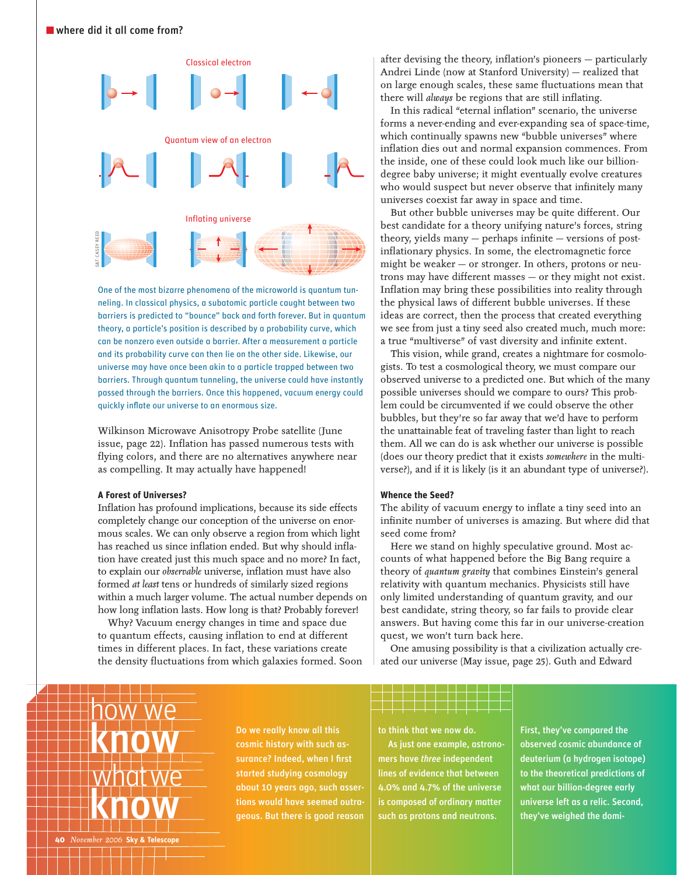

One of the most bizarre phenomena of the microworld is quantum tunneling. In classical physics, a subatomic particle caught between two barriers is predicted to "bounce" back and forth forever. But in quantum theory, a particle's position is described by a probability curve, which can be nonzero even outside a barrier. After a measurement a particle and its probability curve can then lie on the other side. Likewise, our universe may have once been akin to a particle trapped between two barriers. Through quantum tunneling, the universe could have instantly passed through the barriers. Once this happened, vacuum energy could quickly inflate our universe to an enormous size.

Wilkinson Microwave Anisotropy Probe satellite (June issue, page 22). Inflation has passed numerous tests with flying colors, and there are no alternatives anywhere near as compelling. It may actually have happened!

#### **A Forest of Universes?**

Inflation has profound implications, because its side effects completely change our conception of the universe on enormous scales. We can only observe a region from which light has reached us since inflation ended. But why should inflation have created just this much space and no more? In fact, to explain our *observable* universe, inflation must have also formed *at least* tens or hundreds of similarly sized regions within a much larger volume. The actual number depends on how long inflation lasts. How long is that? Probably forever!

Why? Vacuum energy changes in time and space due to quantum effects, causing inflation to end at different times in different places. In fact, these variations create the density fluctuations from which galaxies formed. Soon after devising the theory, inflation's pioneers - particularly Andrei Linde (now at Stanford University) — realized that on large enough scales, these same fluctuations mean that there will *always* be regions that are still inflating.

In this radical "eternal inflation" scenario, the universe forms a never-ending and ever-expanding sea of space-time, which continually spawns new "bubble universes" where inflation dies out and normal expansion commences. From the inside, one of these could look much like our billiondegree baby universe; it might eventually evolve creatures who would suspect but never observe that infinitely many universes coexist far away in space and time.

But other bubble universes may be quite different. Our best candidate for a theory unifying nature's forces*,* string theory, yields many  $-$  perhaps infinite  $-$  versions of postinflationary physics. In some, the electromagnetic force might be weaker — or stronger. In others, protons or neutrons may have different masses — or they might not exist. Inflation may bring these possibilities into reality through the physical laws of different bubble universes. If these ideas are correct, then the process that created everything we see from just a tiny seed also created much, much more: a true "multiverse" of vast diversity and infinite extent.

This vision, while grand, creates a nightmare for cosmologists. To test a cosmological theory, we must compare our observed universe to a predicted one. But which of the many possible universes should we compare to ours? This problem could be circumvented if we could observe the other bubbles, but they're so far away that we'd have to perform the unattainable feat of traveling faster than light to reach them. All we can do is ask whether our universe is possible (does our theory predict that it exists *somewhere* in the multiverse?), and if it is likely (is it an abundant type of universe?).

#### **Whence the Seed?**

The ability of vacuum energy to inflate a tiny seed into an infinite number of universes is amazing. But where did that seed come from?

Here we stand on highly speculative ground. Most accounts of what happened before the Big Bang require a theory of *quantum gravity* that combines Einstein's general relativity with quantum mechanics. Physicists still have only limited understanding of quantum gravity, and our best candidate, string theory, so far fails to provide clear answers. But having come this far in our universe-creation quest, we won't turn back here.

One amusing possibility is that a civilization actually created our universe (May issue, page 25). Guth and Edward

how we know what we know

Do we really know all this cosmic history with such assurance? Indeed, when I first started studying cosmology about 10 years ago, such assertions would have seemed outrageous. But there is good reason

to think that we now do.

As just one example, astronomers have *three* independent lines of evidence that between 4.0% and 4.7% of the universe is composed of ordinary matter such as protons and neutrons.

First, they've compared the observed cosmic abundance of deuterium (a hydrogen isotope) to the theoretical predictions of what our billion-degree early universe left as a relic. Second, they've weighed the domi-